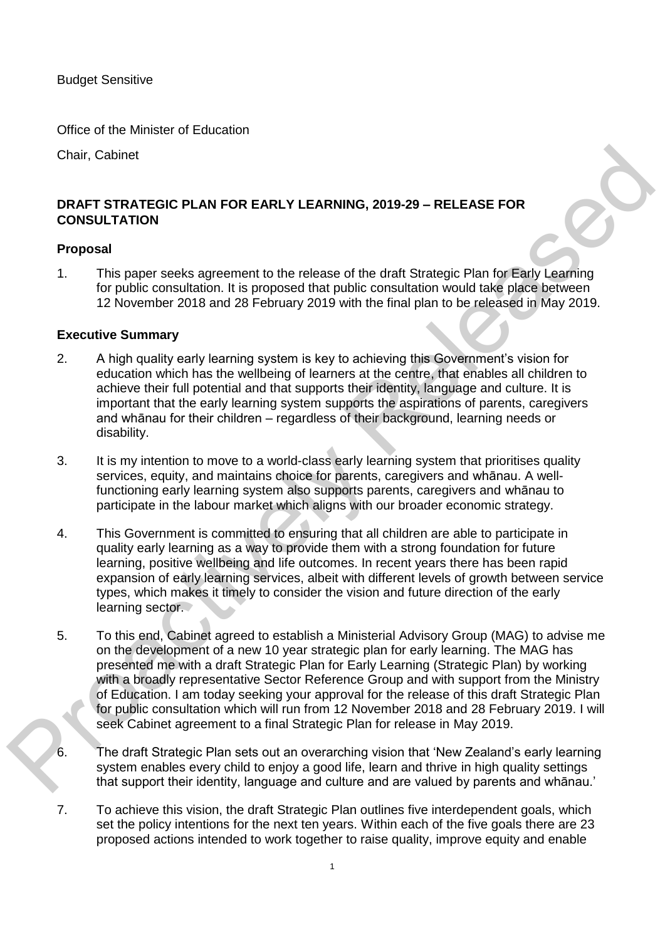Budget Sensitive

Office of the Minister of Education

Chair, Cabinet

# **DRAFT STRATEGIC PLAN FOR EARLY LEARNING, 2019-29 – RELEASE FOR CONSULTATION**

#### **Proposal**

1. This paper seeks agreement to the release of the draft Strategic Plan for Early Learning for public consultation. It is proposed that public consultation would take place between 12 November 2018 and 28 February 2019 with the final plan to be released in May 2019.

#### **Executive Summary**

- 2. A high quality early learning system is key to achieving this Government's vision for education which has the wellbeing of learners at the centre, that enables all children to achieve their full potential and that supports their identity, language and culture. It is important that the early learning system supports the aspirations of parents, caregivers and whānau for their children – regardless of their background, learning needs or disability.
- 3. It is my intention to move to a world-class early learning system that prioritises quality services, equity, and maintains choice for parents, caregivers and whānau. A wellfunctioning early learning system also supports parents, caregivers and whānau to participate in the labour market which aligns with our broader economic strategy.
- 4. This Government is committed to ensuring that all children are able to participate in quality early learning as a way to provide them with a strong foundation for future learning, positive wellbeing and life outcomes. In recent years there has been rapid expansion of early learning services, albeit with different levels of growth between service types, which makes it timely to consider the vision and future direction of the early learning sector.
- 5. To this end, Cabinet agreed to establish a Ministerial Advisory Group (MAG) to advise me on the development of a new 10 year strategic plan for early learning. The MAG has presented me with a draft Strategic Plan for Early Learning (Strategic Plan) by working with a broadly representative Sector Reference Group and with support from the Ministry of Education. I am today seeking your approval for the release of this draft Strategic Plan for public consultation which will run from 12 November 2018 and 28 February 2019. I will seek Cabinet agreement to a final Strategic Plan for release in May 2019. Chair, Cabinet<br>
DRAFT STRATEGIC PLAN FOR EARLY LEARNING, 2019-29 – RELEASE FOR<br>
CONSULTATION<br>
Proposal<br>
Proposal<br>
This paper seeks agreement to the release of the drial Strategic Plan (or Early Learning<br>
1. This paper seek
	- 6. The draft Strategic Plan sets out an overarching vision that 'New Zealand's early learning system enables every child to enjoy a good life, learn and thrive in high quality settings that support their identity, language and culture and are valued by parents and whānau.'
	- 7. To achieve this vision, the draft Strategic Plan outlines five interdependent goals, which set the policy intentions for the next ten years. Within each of the five goals there are 23 proposed actions intended to work together to raise quality, improve equity and enable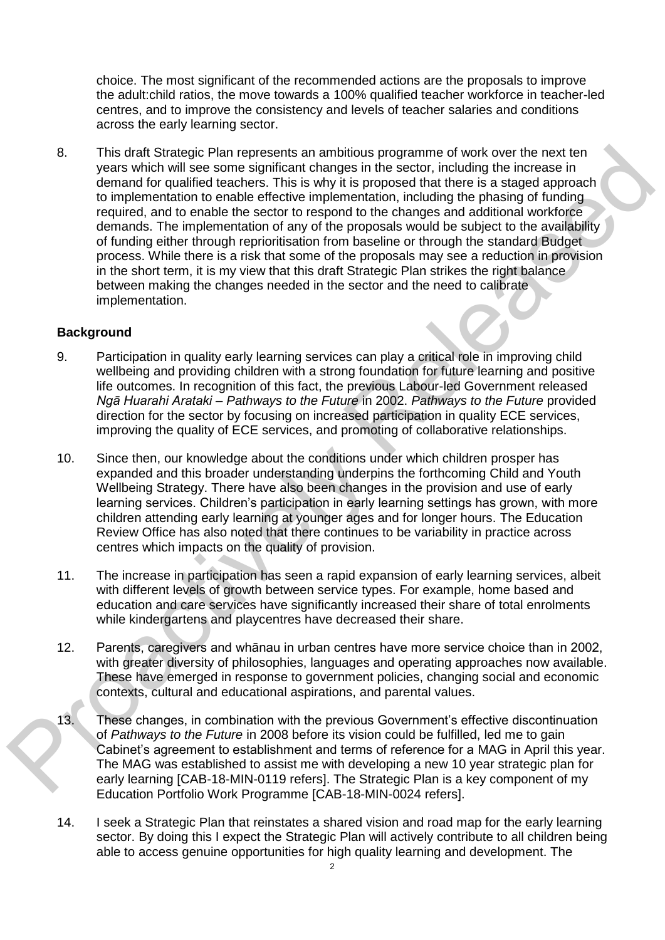choice. The most significant of the recommended actions are the proposals to improve the adult:child ratios, the move towards a 100% qualified teacher workforce in teacher-led centres, and to improve the consistency and levels of teacher salaries and conditions across the early learning sector.

8. This draft Strategic Plan represents an ambitious programme of work over the next ten years which will see some significant changes in the sector, including the increase in demand for qualified teachers. This is why it is proposed that there is a staged approach to implementation to enable effective implementation, including the phasing of funding required, and to enable the sector to respond to the changes and additional workforce demands. The implementation of any of the proposals would be subject to the availability of funding either through reprioritisation from baseline or through the standard Budget process. While there is a risk that some of the proposals may see a reduction in provision in the short term, it is my view that this draft Strategic Plan strikes the right balance between making the changes needed in the sector and the need to calibrate implementation. 3.<br>
This draingy Plain corposes to an anchoising programm of work over the next to maximum of the moment of the moment of the moment of the moment of the moment of the moment of the moment of the moment of the moment of th

## **Background**

- 9. Participation in quality early learning services can play a critical role in improving child wellbeing and providing children with a strong foundation for future learning and positive life outcomes. In recognition of this fact, the previous Labour-led Government released *Ngā Huarahi Arataki – Pathways to the Future* in 2002. *Pathways to the Future* provided direction for the sector by focusing on increased participation in quality ECE services, improving the quality of ECE services, and promoting of collaborative relationships.
- 10. Since then, our knowledge about the conditions under which children prosper has expanded and this broader understanding underpins the forthcoming Child and Youth Wellbeing Strategy. There have also been changes in the provision and use of early learning services. Children's participation in early learning settings has grown, with more children attending early learning at younger ages and for longer hours. The Education Review Office has also noted that there continues to be variability in practice across centres which impacts on the quality of provision.
- 11. The increase in participation has seen a rapid expansion of early learning services, albeit with different levels of growth between service types. For example, home based and education and care services have significantly increased their share of total enrolments while kindergartens and playcentres have decreased their share.
- 12. Parents, caregivers and whānau in urban centres have more service choice than in 2002, with greater diversity of philosophies, languages and operating approaches now available. These have emerged in response to government policies, changing social and economic contexts, cultural and educational aspirations, and parental values.
- 13. These changes, in combination with the previous Government's effective discontinuation of *Pathways to the Future* in 2008 before its vision could be fulfilled, led me to gain Cabinet's agreement to establishment and terms of reference for a MAG in April this year. The MAG was established to assist me with developing a new 10 year strategic plan for early learning [CAB-18-MIN-0119 refers]. The Strategic Plan is a key component of my Education Portfolio Work Programme [CAB-18-MIN-0024 refers].
- 14. I seek a Strategic Plan that reinstates a shared vision and road map for the early learning sector. By doing this I expect the Strategic Plan will actively contribute to all children being able to access genuine opportunities for high quality learning and development. The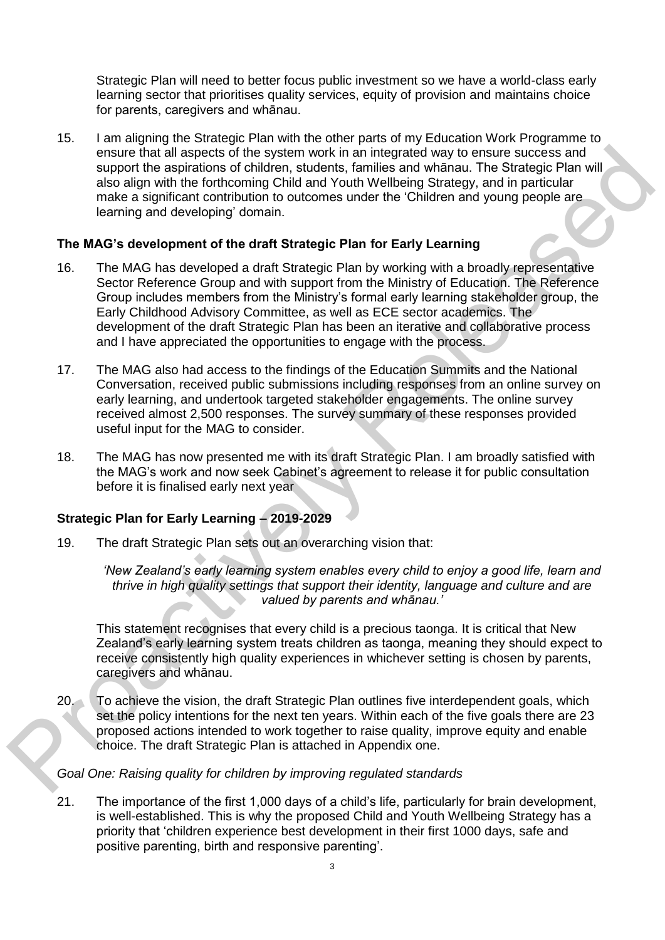Strategic Plan will need to better focus public investment so we have a world-class early learning sector that prioritises quality services, equity of provision and maintains choice for parents, caregivers and whānau.

15. I am aligning the Strategic Plan with the other parts of my Education Work Programme to ensure that all aspects of the system work in an integrated way to ensure success and support the aspirations of children, students, families and whānau. The Strategic Plan will also align with the forthcoming Child and Youth Wellbeing Strategy, and in particular make a significant contribution to outcomes under the 'Children and young people are learning and developing' domain.

## **The MAG's development of the draft Strategic Plan for Early Learning**

- 16. The MAG has developed a draft Strategic Plan by working with a broadly representative Sector Reference Group and with support from the Ministry of Education. The Reference Group includes members from the Ministry's formal early learning stakeholder group, the Early Childhood Advisory Committee, as well as ECE sector academics. The development of the draft Strategic Plan has been an iterative and collaborative process and I have appreciated the opportunities to engage with the process. ensus that all aspects of the system work in an integrated way to ensure success and<br>support the aspirations of children, students, families and whanau. The Strategic Plan will<br>also align with the forticoming Child and You
	- 17. The MAG also had access to the findings of the Education Summits and the National Conversation, received public submissions including responses from an online survey on early learning, and undertook targeted stakeholder engagements. The online survey received almost 2,500 responses. The survey summary of these responses provided useful input for the MAG to consider.
	- 18. The MAG has now presented me with its draft Strategic Plan. I am broadly satisfied with the MAG's work and now seek Cabinet's agreement to release it for public consultation before it is finalised early next year

## **Strategic Plan for Early Learning – 2019-2029**

19. The draft Strategic Plan sets out an overarching vision that:

*'New Zealand's early learning system enables every child to enjoy a good life, learn and thrive in high quality settings that support their identity, language and culture and are valued by parents and whānau.'*

This statement recognises that every child is a precious taonga. It is critical that New Zealand's early learning system treats children as taonga, meaning they should expect to receive consistently high quality experiences in whichever setting is chosen by parents, caregivers and whānau.

20. To achieve the vision, the draft Strategic Plan outlines five interdependent goals, which set the policy intentions for the next ten years. Within each of the five goals there are 23 proposed actions intended to work together to raise quality, improve equity and enable choice. The draft Strategic Plan is attached in Appendix one.

*Goal One: Raising quality for children by improving regulated standards* 

21. The importance of the first 1,000 days of a child's life, particularly for brain development, is well-established. This is why the proposed Child and Youth Wellbeing Strategy has a priority that 'children experience best development in their first 1000 days, safe and positive parenting, birth and responsive parenting'.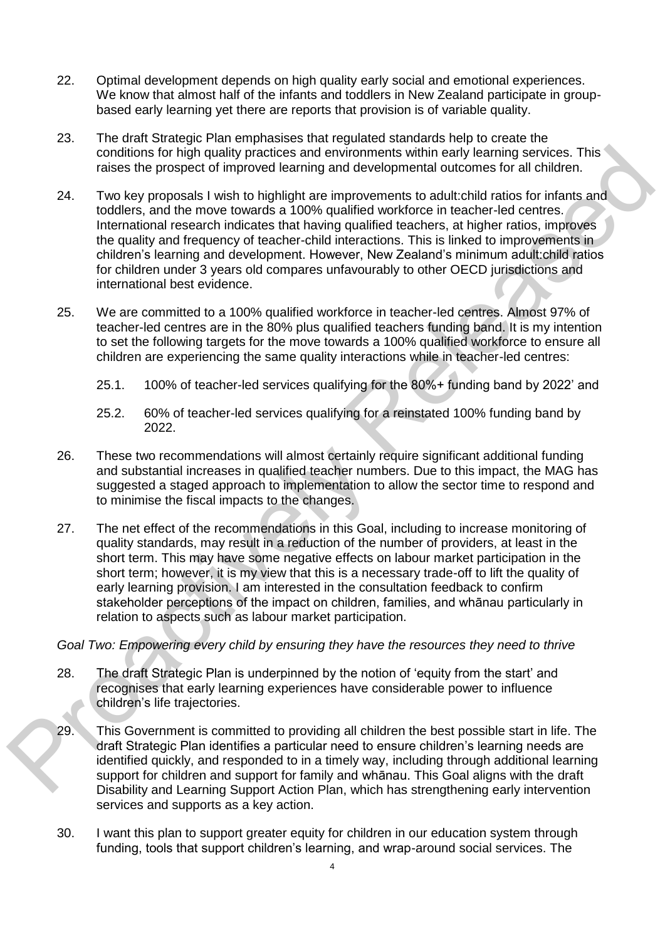- 22. Optimal development depends on high quality early social and emotional experiences. We know that almost half of the infants and toddlers in New Zealand participate in groupbased early learning yet there are reports that provision is of variable quality.
- 23. The draft Strategic Plan emphasises that regulated standards help to create the conditions for high quality practices and environments within early learning services. This raises the prospect of improved learning and developmental outcomes for all children.
- 24. Two key proposals I wish to highlight are improvements to adult:child ratios for infants and toddlers, and the move towards a 100% qualified workforce in teacher-led centres. International research indicates that having qualified teachers, at higher ratios, improves the quality and frequency of teacher-child interactions. This is linked to improvements in children's learning and development. However, New Zealand's minimum adult:child ratios for children under 3 years old compares unfavourably to other OECD jurisdictions and international best evidence. conditions for high quality practices and environments within early teaming services. This can be related to the propose the propose of the bright are increased to distribute the bright of the proposals wish to highlight a
	- 25. We are committed to a 100% qualified workforce in teacher-led centres. Almost 97% of teacher-led centres are in the 80% plus qualified teachers funding band. It is my intention to set the following targets for the move towards a 100% qualified workforce to ensure all children are experiencing the same quality interactions while in teacher-led centres:
		- 25.1. 100% of teacher-led services qualifying for the 80%+ funding band by 2022' and
		- 25.2. 60% of teacher-led services qualifying for a reinstated 100% funding band by 2022.
	- 26. These two recommendations will almost certainly require significant additional funding and substantial increases in qualified teacher numbers. Due to this impact, the MAG has suggested a staged approach to implementation to allow the sector time to respond and to minimise the fiscal impacts to the changes.
	- 27. The net effect of the recommendations in this Goal, including to increase monitoring of quality standards, may result in a reduction of the number of providers, at least in the short term. This may have some negative effects on labour market participation in the short term; however, it is my view that this is a necessary trade-off to lift the quality of early learning provision. I am interested in the consultation feedback to confirm stakeholder perceptions of the impact on children, families, and whānau particularly in relation to aspects such as labour market participation.

*Goal Two: Empowering every child by ensuring they have the resources they need to thrive* 

- 28. The draft Strategic Plan is underpinned by the notion of 'equity from the start' and recognises that early learning experiences have considerable power to influence children's life trajectories.
- 29. This Government is committed to providing all children the best possible start in life. The draft Strategic Plan identifies a particular need to ensure children's learning needs are identified quickly, and responded to in a timely way, including through additional learning support for children and support for family and whānau. This Goal aligns with the draft Disability and Learning Support Action Plan, which has strengthening early intervention services and supports as a key action.
- 30. I want this plan to support greater equity for children in our education system through funding, tools that support children's learning, and wrap-around social services. The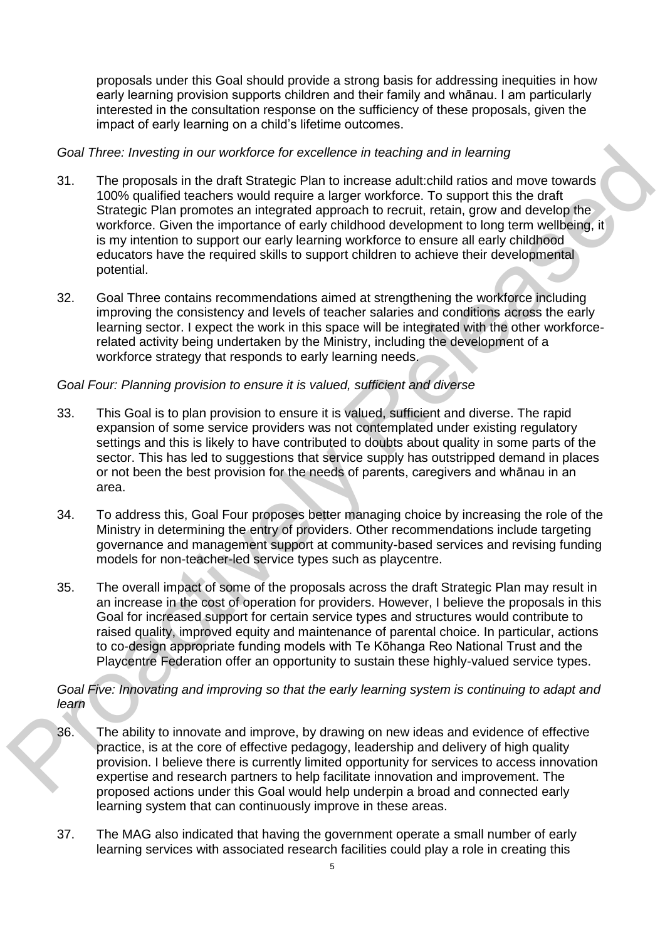proposals under this Goal should provide a strong basis for addressing inequities in how early learning provision supports children and their family and whānau. I am particularly interested in the consultation response on the sufficiency of these proposals, given the impact of early learning on a child's lifetime outcomes.

## *Goal Three: Investing in our workforce for excellence in teaching and in learning*

- 31. The proposals in the draft Strategic Plan to increase adult:child ratios and move towards 100% qualified teachers would require a larger workforce. To support this the draft Strategic Plan promotes an integrated approach to recruit, retain, grow and develop the workforce. Given the importance of early childhood development to long term wellbeing, it is my intention to support our early learning workforce to ensure all early childhood educators have the required skills to support children to achieve their developmental potential. Goal Three: Investing in our workforce for excellence in teaching and in fearing<br>
31. The proposals in the draft Strategic Plan to increase adductibit ratio and move towards<br>
100% qualified teachers would require a larger
	- 32. Goal Three contains recommendations aimed at strengthening the workforce including improving the consistency and levels of teacher salaries and conditions across the early learning sector. I expect the work in this space will be integrated with the other workforcerelated activity being undertaken by the Ministry, including the development of a workforce strategy that responds to early learning needs.

# *Goal Four: Planning provision to ensure it is valued, sufficient and diverse*

- 33. This Goal is to plan provision to ensure it is valued, sufficient and diverse. The rapid expansion of some service providers was not contemplated under existing regulatory settings and this is likely to have contributed to doubts about quality in some parts of the sector. This has led to suggestions that service supply has outstripped demand in places or not been the best provision for the needs of parents, caregivers and whānau in an area.
- 34. To address this, Goal Four proposes better managing choice by increasing the role of the Ministry in determining the entry of providers. Other recommendations include targeting governance and management support at community-based services and revising funding models for non-teacher-led service types such as playcentre.
- 35. The overall impact of some of the proposals across the draft Strategic Plan may result in an increase in the cost of operation for providers. However, I believe the proposals in this Goal for increased support for certain service types and structures would contribute to raised quality, improved equity and maintenance of parental choice. In particular, actions to co-design appropriate funding models with Te Kōhanga Reo National Trust and the Playcentre Federation offer an opportunity to sustain these highly-valued service types.

*Goal Five: Innovating and improving so that the early learning system is continuing to adapt and learn* 

- 36. The ability to innovate and improve, by drawing on new ideas and evidence of effective practice, is at the core of effective pedagogy, leadership and delivery of high quality provision. I believe there is currently limited opportunity for services to access innovation expertise and research partners to help facilitate innovation and improvement. The proposed actions under this Goal would help underpin a broad and connected early learning system that can continuously improve in these areas.
- 37. The MAG also indicated that having the government operate a small number of early learning services with associated research facilities could play a role in creating this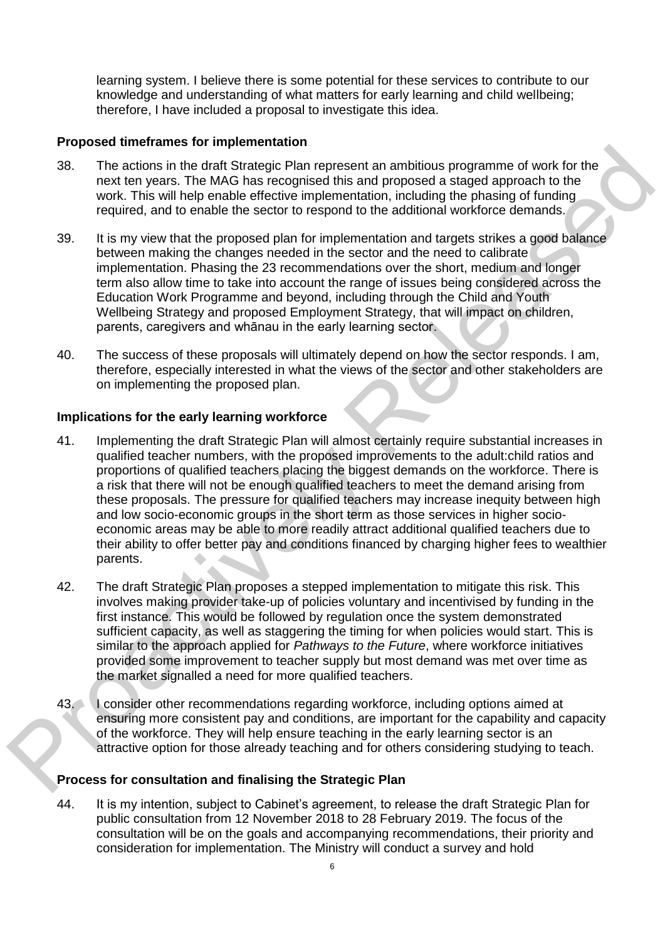learning system. I believe there is some potential for these services to contribute to our knowledge and understanding of what matters for early learning and child wellbeing; therefore, I have included a proposal to investigate this idea.

## **Proposed timeframes for implementation**

- 38. The actions in the draft Strategic Plan represent an ambitious programme of work for the next ten years. The MAG has recognised this and proposed a staged approach to the work. This will help enable effective implementation, including the phasing of funding required, and to enable the sector to respond to the additional workforce demands.
- 39. It is my view that the proposed plan for implementation and targets strikes a good balance between making the changes needed in the sector and the need to calibrate implementation. Phasing the 23 recommendations over the short, medium and longer term also allow time to take into account the range of issues being considered across the Education Work Programme and beyond, including through the Child and Youth Wellbeing Strategy and proposed Employment Strategy, that will impact on children, parents, caregivers and whānau in the early learning sector.
- 40. The success of these proposals will ultimately depend on how the sector responds. I am, therefore, especially interested in what the views of the sector and other stakeholders are on implementing the proposed plan.

## **Implications for the early learning workforce**

- 41. Implementing the draft Strategic Plan will almost certainly require substantial increases in qualified teacher numbers, with the proposed improvements to the adult:child ratios and proportions of qualified teachers placing the biggest demands on the workforce. There is a risk that there will not be enough qualified teachers to meet the demand arising from these proposals. The pressure for qualified teachers may increase inequity between high and low socio-economic groups in the short term as those services in higher socioeconomic areas may be able to more readily attract additional qualified teachers due to their ability to offer better pay and conditions financed by charging higher fees to wealthier parents. 1. The actions in the dhat Grandelphe that only the figure of the figure of the metric in the state of the MS in the MS in the MS in the MS in the MS in the West The MS in the West The MS in the West The MS in the proposed
	- 42. The draft Strategic Plan proposes a stepped implementation to mitigate this risk. This involves making provider take-up of policies voluntary and incentivised by funding in the first instance. This would be followed by regulation once the system demonstrated sufficient capacity, as well as staggering the timing for when policies would start. This is similar to the approach applied for *Pathways to the Future*, where workforce initiatives provided some improvement to teacher supply but most demand was met over time as the market signalled a need for more qualified teachers.
	- 43. I consider other recommendations regarding workforce, including options aimed at ensuring more consistent pay and conditions, are important for the capability and capacity of the workforce. They will help ensure teaching in the early learning sector is an attractive option for those already teaching and for others considering studying to teach.

# **Process for consultation and finalising the Strategic Plan**

44. It is my intention, subject to Cabinet's agreement, to release the draft Strategic Plan for public consultation from 12 November 2018 to 28 February 2019. The focus of the consultation will be on the goals and accompanying recommendations, their priority and consideration for implementation. The Ministry will conduct a survey and hold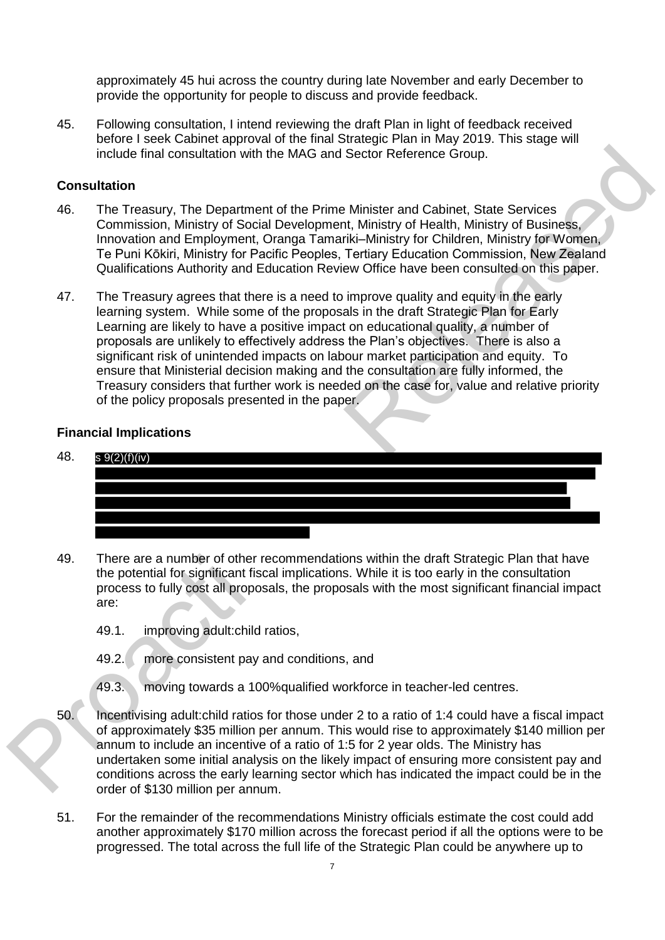approximately 45 hui across the country during late November and early December to provide the opportunity for people to discuss and provide feedback.

45. Following consultation, I intend reviewing the draft Plan in light of feedback received before I seek Cabinet approval of the final Strategic Plan in May 2019. This stage will include final consultation with the MAG and Sector Reference Group.

### **Consultation**

- 46. The Treasury, The Department of the Prime Minister and Cabinet, State Services Commission, Ministry of Social Development, Ministry of Health, Ministry of Business, Innovation and Employment, Oranga Tamariki–Ministry for Children, Ministry for Women, Te Puni Kōkiri, Ministry for Pacific Peoples, Tertiary Education Commission, New Zealand Qualifications Authority and Education Review Office have been consulted on this paper.
- 47. The Treasury agrees that there is a need to improve quality and equity in the early learning system. While some of the proposals in the draft Strategic Plan for Early Learning are likely to have a positive impact on educational quality, a number of proposals are unlikely to effectively address the Plan's objectives. There is also a significant risk of unintended impacts on labour market participation and equity. To ensure that Ministerial decision making and the consultation are fully informed, the Treasury considers that further work is needed on the case for, value and relative priority of the policy proposals presented in the paper. include final consultation with the MAG and Sector Reference Group.<br>
Comstitute Trassury, The Department of the Prime Minister and Cabinet, State Services<br>
46. The Trassury, The Department of the Prime Minister and Cabinet

#### **Financial Implications**



- 49. There are a number of other recommendations within the draft Strategic Plan that have the potential for significant fiscal implications. While it is too early in the consultation process to fully cost all proposals, the proposals with the most significant financial impact are:
	- 49.1. improving adult:child ratios,
	- 49.2. more consistent pay and conditions, and
	- 49.3. moving towards a 100%qualified workforce in teacher-led centres.
- 50. Incentivising adult:child ratios for those under 2 to a ratio of 1:4 could have a fiscal impact of approximately \$35 million per annum. This would rise to approximately \$140 million per annum to include an incentive of a ratio of 1:5 for 2 year olds. The Ministry has undertaken some initial analysis on the likely impact of ensuring more consistent pay and conditions across the early learning sector which has indicated the impact could be in the order of \$130 million per annum.
- 51. For the remainder of the recommendations Ministry officials estimate the cost could add another approximately \$170 million across the forecast period if all the options were to be progressed. The total across the full life of the Strategic Plan could be anywhere up to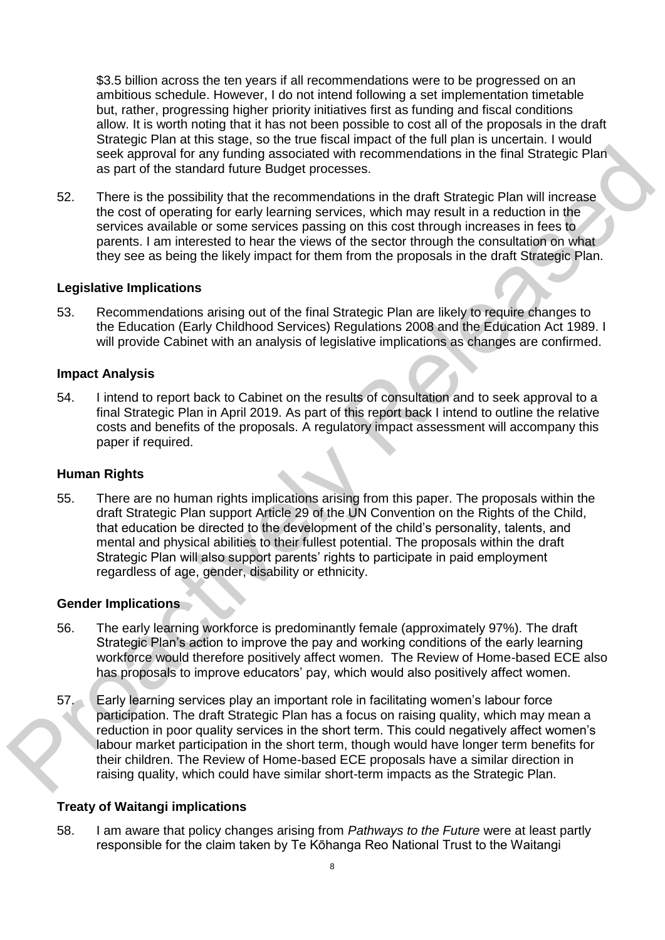\$3.5 billion across the ten years if all recommendations were to be progressed on an ambitious schedule. However, I do not intend following a set implementation timetable but, rather, progressing higher priority initiatives first as funding and fiscal conditions allow. It is worth noting that it has not been possible to cost all of the proposals in the draft Strategic Plan at this stage, so the true fiscal impact of the full plan is uncertain. I would seek approval for any funding associated with recommendations in the final Strategic Plan as part of the standard future Budget processes.

52. There is the possibility that the recommendations in the draft Strategic Plan will increase the cost of operating for early learning services, which may result in a reduction in the services available or some services passing on this cost through increases in fees to parents. I am interested to hear the views of the sector through the consultation on what they see as being the likely impact for them from the proposals in the draft Strategic Plan.

### **Legislative Implications**

53. Recommendations arising out of the final Strategic Plan are likely to require changes to the Education (Early Childhood Services) Regulations 2008 and the Education Act 1989. I will provide Cabinet with an analysis of legislative implications as changes are confirmed.

### **Impact Analysis**

54. I intend to report back to Cabinet on the results of consultation and to seek approval to a final Strategic Plan in April 2019. As part of this report back I intend to outline the relative costs and benefits of the proposals. A regulatory impact assessment will accompany this paper if required.

## **Human Rights**

55. There are no human rights implications arising from this paper. The proposals within the draft Strategic Plan support Article 29 of the UN Convention on the Rights of the Child, that education be directed to the development of the child's personality, talents, and mental and physical abilities to their fullest potential. The proposals within the draft Strategic Plan will also support parents' rights to participate in paid employment regardless of age, gender, disability or ethnicity. seek approval for any furning associated with recommendations in the final Strategic Plan<br>as part of the standard future Budget processes.<br>There is the possibility that the recommendations in the draft Strategic Plan<br>the c

#### **Gender Implications**

- 56. The early learning workforce is predominantly female (approximately 97%). The draft Strategic Plan's action to improve the pay and working conditions of the early learning workforce would therefore positively affect women. The Review of Home-based ECE also has proposals to improve educators' pay, which would also positively affect women.
- 57. Early learning services play an important role in facilitating women's labour force participation. The draft Strategic Plan has a focus on raising quality, which may mean a reduction in poor quality services in the short term. This could negatively affect women's labour market participation in the short term, though would have longer term benefits for their children. The Review of Home-based ECE proposals have a similar direction in raising quality, which could have similar short-term impacts as the Strategic Plan.

## **Treaty of Waitangi implications**

58. I am aware that policy changes arising from *Pathways to the Future* were at least partly responsible for the claim taken by Te Kōhanga Reo National Trust to the Waitangi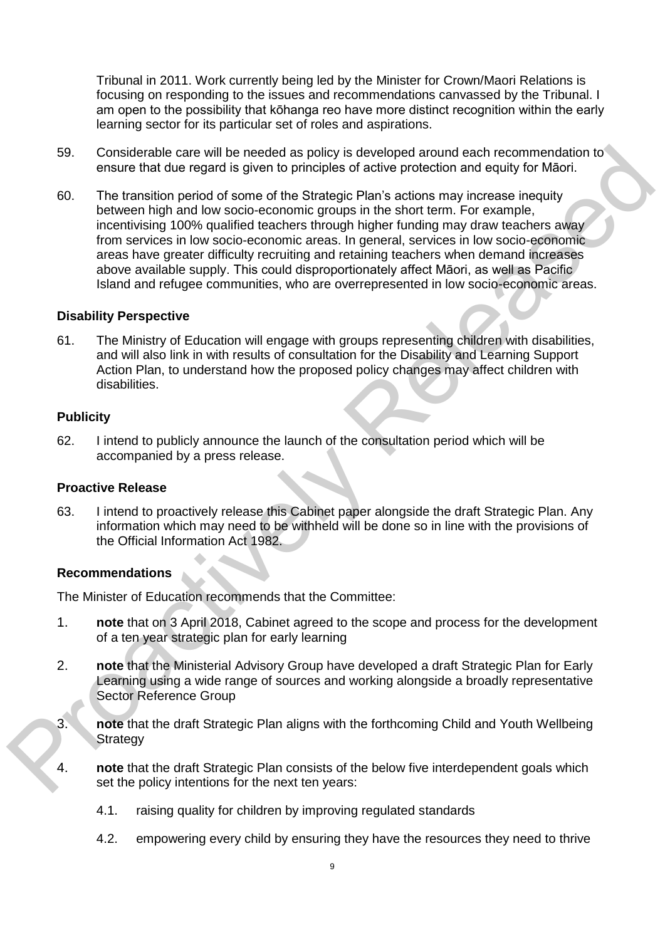Tribunal in 2011. Work currently being led by the Minister for Crown/Maori Relations is focusing on responding to the issues and recommendations canvassed by the Tribunal. I am open to the possibility that kōhanga reo have more distinct recognition within the early learning sector for its particular set of roles and aspirations.

- 59. Considerable care will be needed as policy is developed around each recommendation to ensure that due regard is given to principles of active protection and equity for Māori.
- 60. The transition period of some of the Strategic Plan's actions may increase inequity between high and low socio-economic groups in the short term. For example, incentivising 100% qualified teachers through higher funding may draw teachers away from services in low socio-economic areas. In general, services in low socio-economic areas have greater difficulty recruiting and retaining teachers when demand increases above available supply. This could disproportionately affect Māori, as well as Pacific Island and refugee communities, who are overrepresented in low socio-economic areas. 59. Considerable care will be needed as poice; is developed around each recommendation to<br>ensure that due regard is given to principles of actions may increase inequity<br>for the transition period of some of the Strategic Pl

## **Disability Perspective**

61. The Ministry of Education will engage with groups representing children with disabilities, and will also link in with results of consultation for the Disability and Learning Support Action Plan, to understand how the proposed policy changes may affect children with disabilities.

#### **Publicity**

62. I intend to publicly announce the launch of the consultation period which will be accompanied by a press release.

#### **Proactive Release**

63. I intend to proactively release this Cabinet paper alongside the draft Strategic Plan. Any information which may need to be withheld will be done so in line with the provisions of the Official Information Act 1982.

## **Recommendations**

The Minister of Education recommends that the Committee:

- 1. **note** that on 3 April 2018, Cabinet agreed to the scope and process for the development of a ten year strategic plan for early learning
- 2. **note** that the Ministerial Advisory Group have developed a draft Strategic Plan for Early Learning using a wide range of sources and working alongside a broadly representative Sector Reference Group
- 3. **note** that the draft Strategic Plan aligns with the forthcoming Child and Youth Wellbeing **Strategy**
- 4. **note** that the draft Strategic Plan consists of the below five interdependent goals which set the policy intentions for the next ten years:
	- 4.1. raising quality for children by improving regulated standards
	- 4.2. empowering every child by ensuring they have the resources they need to thrive